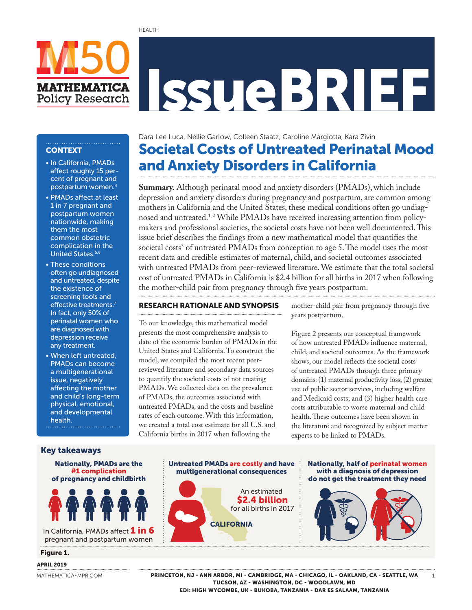# IssueBRIEF

## **CONTEXT**

• In California, PMADs affect roughly 15 percent of pregnant and postpartum women.<sup>4</sup>

**MATHEMATICA Policy Research** 

- PMADs affect at least 1 in 7 pregnant and postpartum women nationwide, making them the most common obstetric complication in the United States.5,6
- These conditions often go undiagnosed and untreated, despite the existence of screening tools and effective treatments.<sup>7</sup> In fact, only 50% of perinatal women who are diagnosed with depression receive any treatment.
- When left untreated, PMADs can become a multigenerational issue, negatively affecting the mother and child's long-term physical, emotional, and developmental health.. . . . . . . . . . . . . . . . . . . .

Societal Costs of Untreated Perinatal Mood and Anxiety Disorders in California Dara Lee Luca, Nellie Garlow, Colleen Staatz, Caroline Margiotta, Kara Zivin

**Summary.** Although perinatal mood and anxiety disorders (PMADs), which include depression and anxiety disorders during pregnancy and postpartum, are common among mothers in California and the United States, these medical conditions often go undiagnosed and untreated.<sup>1,2</sup> While PMADs have received increasing attention from policymakers and professional societies, the societal costs have not been well documented. This issue brief describes the findings from a new mathematical model that quantifies the societal costs<sup>3</sup> of untreated PMADs from conception to age 5. The model uses the most recent data and credible estimates of maternal, child, and societal outcomes associated with untreated PMADs from peer-reviewed literature. We estimate that the total societal cost of untreated PMADs in California is \$2.4 billion for all births in 2017 when following the mother-child pair from pregnancy through five years postpartum.

#### RESEARCH RATIONALE AND SYNOPSIS

To our knowledge, this mathematical model presents the most comprehensive analysis to date of the economic burden of PMADs in the United States and California. To construct the model, we compiled the most recent peerreviewed literature and secondary data sources to quantify the societal costs of not treating PMADs. We collected data on the prevalence of PMADs, the outcomes associated with untreated PMADs, and the costs and baseline rates of each outcome. With this information, we created a total cost estimate for all U.S. and California births in 2017 when following the

mother-child pair from pregnancy through five years postpartum.

Figure 2 presents our conceptual framework of how untreated PMADs influence maternal, child, and societal outcomes. As the framework shows, our model reflects the societal costs of untreated PMADs through three primary domains: (1) maternal productivity loss; (2) greater use of public sector services, including welfare and Medicaid costs; and (3) higher health care costs attributable to worse maternal and child health. These outcomes have been shown in the literature and recognized by subject matter experts to be linked to PMADs.

> Nationally, half of perinatal women with a diagnosis of depression do not get the treatment they need

> > 1

#### Key takeaways



pregnant and postpartum women

#### Figure 1.

#### APRIL 2019

[MATHEMATICA-MPR.COM](http://mathematica-mpr.com/)

PRINCETON, NJ - ANN ARBOR, MI - CAMBRIDGE, MA - CHICAGO, IL - OAKLAND, CA - SEATTLE, WA TUCSON, AZ - WASHINGTON, DC - WOODLAWN, MD EDI: HIGH WYCOMBE, UK - BUKOBA, TANZANIA - DAR ES SALAAM, TANZANIA

An estimated \$2.4 billion for all births in 2017

**CALIFORNIA** 

Untreated PMADs are costly and have multigenerational consequences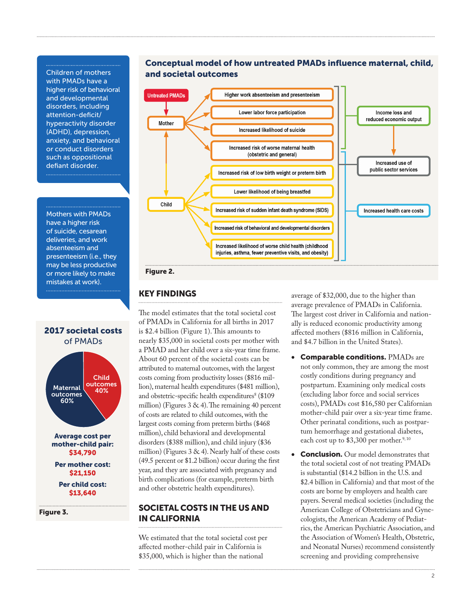Children of mothers with PMADs have a higher risk of behavioral and developmental disorders, including attention-deficit/ hyperactivity disorder (ADHD), depression, anxiety, and behavioral or conduct disorders such as oppositional defiant disorder.

Mothers with PMADs have a higher risk of suicide, cesarean deliveries, and work absenteeism and presenteeism (i.e., they may be less productive or more likely to make mistakes at work).



\$13,640

Figure 3.





#### Figure 2.

### KEY FINDINGS

The model estimates that the total societal cost of PMADs in California for all births in 2017 is \$2.4 billion (Figure 1). This amounts to nearly \$35,000 in societal costs per mother with a PMAD and her child over a six-year time frame. About 60 percent of the societal costs can be attributed to maternal outcomes, with the largest costs coming from productivity losses (\$816 million), maternal health expenditures (\$481 million), and obstetric-specific health expenditures<sup>8</sup> (\$109) million) (Figures 3 & 4). The remaining 40 percent of costs are related to child outcomes, with the largest costs coming from preterm births (\$468 million), child behavioral and developmental disorders (\$388 million), and child injury (\$36 million) (Figures 3 & 4). Nearly half of these costs (49.5 percent or \$1.2 billion) occur during the first year, and they are associated with pregnancy and birth complications (for example, preterm birth and other obstetric health expenditures).

## SOCIETAL COSTS IN THE US AND IN CALIFORNIA

We estimated that the total societal cost per affected mother-child pair in California is \$35,000, which is higher than the national

average of \$32,000, due to the higher than average prevalence of PMADs in California. The largest cost driver in California and nationally is reduced economic productivity among affected mothers (\$816 million in California, and \$4.7 billion in the United States).

- Comparable conditions. PMADs are not only common, they are among the most costly conditions during pregnancy and postpartum. Examining only medical costs (excluding labor force and social services costs), PMADs cost \$16,580 per Californian mother-child pair over a six-year time frame. Other perinatal conditions, such as postpartum hemorrhage and gestational diabetes, each cost up to \$3,300 per mother.<sup>9,10</sup>
- **Conclusion.** Our model demonstrates that the total societal cost of not treating PMADs is substantial (\$14.2 billion in the U.S. and \$2.4 billion in California) and that most of the costs are borne by employers and health care payers. Several medical societies (including the American College of Obstetricians and Gynecologists, the American Academy of Pediatrics, the American Psychiatric Association, and the Association of Women's Health, Obstetric, and Neonatal Nurses) recommend consistently screening and providing comprehensive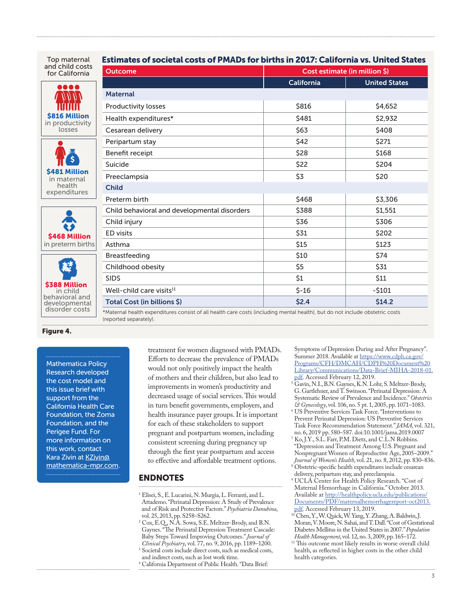| Top maternal                                                                   | Estimates of societal costs of PMADs for births in 2017: California vs. United States                                                                  |                               |                      |  |
|--------------------------------------------------------------------------------|--------------------------------------------------------------------------------------------------------------------------------------------------------|-------------------------------|----------------------|--|
| and child costs<br>for California                                              | <b>Outcome</b>                                                                                                                                         | Cost estimate (in million \$) |                      |  |
| 00 Q Q                                                                         |                                                                                                                                                        | California                    | <b>United States</b> |  |
| <b>\$816 Million</b><br>in productivity<br>losses                              | <b>Maternal</b>                                                                                                                                        |                               |                      |  |
|                                                                                | <b>Productivity losses</b>                                                                                                                             | \$816                         | \$4,652              |  |
|                                                                                | Health expenditures*                                                                                                                                   | \$481                         | \$2,932              |  |
|                                                                                | Cesarean delivery                                                                                                                                      | <b>\$63</b>                   | \$408                |  |
| <b>S481 Million</b><br>in maternal<br>health<br>expenditures                   | Peripartum stay                                                                                                                                        | \$42                          | \$271                |  |
|                                                                                | Benefit receipt                                                                                                                                        | \$28                          | \$168                |  |
|                                                                                | Suicide                                                                                                                                                | \$22                          | \$204                |  |
|                                                                                | Preeclampsia                                                                                                                                           | \$3                           | \$20                 |  |
|                                                                                | <b>Child</b>                                                                                                                                           |                               |                      |  |
|                                                                                | Preterm birth                                                                                                                                          | \$468                         | \$3,306              |  |
| \$468 Million<br>in preterm births                                             | Child behavioral and developmental disorders                                                                                                           | \$388                         | \$1,551              |  |
|                                                                                | Child injury                                                                                                                                           | \$36                          | \$306                |  |
|                                                                                | <b>ED</b> visits                                                                                                                                       | \$31                          | \$202                |  |
|                                                                                | Asthma                                                                                                                                                 | \$15                          | \$123                |  |
| \$388 Million<br>in child<br>behavioral and<br>developmental<br>disorder costs | Breastfeeding                                                                                                                                          | \$10                          | \$74                 |  |
|                                                                                | Childhood obesity                                                                                                                                      | \$5                           | \$31                 |  |
|                                                                                | <b>SIDS</b>                                                                                                                                            | \$1                           | \$11                 |  |
|                                                                                | Well-child care visits <sup>11</sup>                                                                                                                   | $$ -16$                       | $-5101$              |  |
|                                                                                | Total Cost (in billions \$)                                                                                                                            | \$2.4                         | \$14.2               |  |
|                                                                                | *Maternal health expenditures consist of all health care costs (including mental health), but do not include obstetric costs<br>(reported separately). |                               |                      |  |

#### Figure 4.

Mathematica Policy Research developed the cost model and this issue brief with support from the California Health Care Foundation, the Zoma Foundation, and the Perigee Fund. For more information on this work, contact Kara Zivin at [KZivin@](mailto:KZivin@mathematica-mpr.com) [mathematica-mpr.com](mailto:KZivin@mathematica-mpr.com).

treatment for women diagnosed with PMADs. Efforts to decrease the prevalence of PMADs would not only positively impact the health of mothers and their children, but also lead to improvements in women's productivity and decreased usage of social services. This would in turn benefit governments, employers, and health insurance payer groups. It is important for each of these stakeholders to support pregnant and postpartum women, including consistent screening during pregnancy up through the first year postpartum and access to effective and affordable treatment options.

#### ENDNOTES

- 1 Elisei, S., E. Lucarini, N. Murgia, L. Ferranti, and L. Attademo. "Perinatal Depression: A Study of Prevalence and of Risk and Protective Factors." *Psychiatria Danubina*, vol. 25, 2013, pp. S258–S262.
- 2 Cox, E.Q., N.A. Sowa, S.E. Meltzer-Brody, and B.N. Gaynes. "The Perinatal Depression Treatment Cascade: Baby Steps Toward Improving Outcomes." *Journal of Clinical Psychiatry*, vol. 77, no. 9, 2016, pp. 1189–1200.
- 3 Societal costs include direct costs, such as medical costs, and indirect costs, such as lost work time.
- 4 California Department of Public Health. "Data Brief:

Symptoms of Depression During and After Pregnancy". Summer 2018. Available at [https://www.cdph.ca.gov/](https://www.cdph.ca.gov/Programs/CFH/DMCAH/CDPH%20Document%20Library/Communications/Data-Brief-MIHA-2018-01.pdf) [Programs/CFH/DMCAH/CDPH%20Document%20](https://www.cdph.ca.gov/Programs/CFH/DMCAH/CDPH%20Document%20Library/Communications/Data-Brief-MIHA-2018-01.pdf) [Library/Communications/Data-Brief-MIHA-2018-01.](https://www.cdph.ca.gov/Programs/CFH/DMCAH/CDPH%20Document%20Library/Communications/Data-Brief-MIHA-2018-01.pdf) [pdf.](https://www.cdph.ca.gov/Programs/CFH/DMCAH/CDPH%20Document%20Library/Communications/Data-Brief-MIHA-2018-01.pdf) Accessed February 12, 2019.

- 5 Gavin, N.I., B.N. Gaynes, K.N. Lohr, S. Meltzer-Brody, G. Gartlehner, and T. Swinson. "Perinatal Depression: A Systematic Review of Prevalence and Incidence." *Obstetrics & Gynecology*, vol. 106, no. 5 pt. 1, 2005, pp. 1071–1083.
- 6 US Preventive Services Task Force. "Interventions to Prevent Perinatal Depression: US Preventive Services Task Force Recommendation Statement." *JAMA*, vol. 321, no. 6, 2019 pp. 580–587. doi:10.1001/jama.2019.0007
- 7 Ko, J.Y., S.L. Farr, P.M. Dietz, and C.L.N Robbins. "Depression and Treatment Among U.S. Pregnant and Nonpregnant Women of Reproductive Age, 2005–2009." *Journal of Women's Health*, vol. 21, no. 8, 2012, pp. 830–836.
- 8 Obstetric-specific health expenditures include cesarean delivery, peripartum stay, and preeclampsia.
- 9 UCLA Center for Health Policy Research. "Cost of Maternal Hemorrhage in California." October 2013. Available at [http://healthpolicy.ucla.edu/publications/](http://healthpolicy.ucla.edu/publications/Documents/PDF/maternalhemorrhagereport-oct2013.pdf) [Documents/PDF/maternalhemorrhagereport-oct2013.](http://healthpolicy.ucla.edu/publications/Documents/PDF/maternalhemorrhagereport-oct2013.pdf)
- [pdf.](http://healthpolicy.ucla.edu/publications/Documents/PDF/maternalhemorrhagereport-oct2013.pdf) Accessed February 13, 2019.<br><sup>10</sup> Chen, Y., W. Quick, W. Yang, Y. Zhang, A. Baldwin, J. Moran, V. Moore, N. Sahai, and T. Dall. "Cost of Gestational Diabetes Mellitus in the United States in 2007." *Population Health Management*, vol. 12, no. 3, 2009, pp. 165–172.
- <sup>11</sup> This outcome most likely results in worse overall child health, as reflected in higher costs in the other child health categories.

## Estimates of societal costs of PMADs for births in 2017: California vs. United States